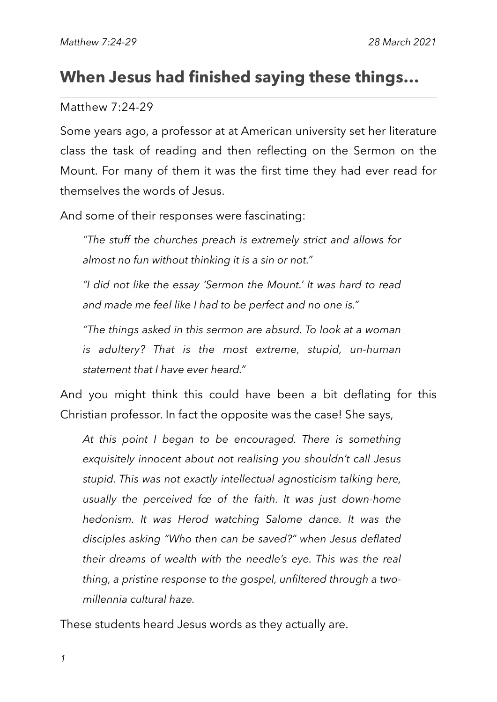# **When Jesus had finished saying these things…**

Matthew 7:24-29

Some years ago, a professor at at American university set her literature class the task of reading and then reflecting on the Sermon on the Mount. For many of them it was the first time they had ever read for themselves the words of Jesus.

And some of their responses were fascinating:

*"The stuff the churches preach is extremely strict and allows for almost no fun without thinking it is a sin or not."*

*"I did not like the essay 'Sermon the Mount.' It was hard to read and made me feel like I had to be perfect and no one is."*

*"The things asked in this sermon are absurd. To look at a woman is adultery? That is the most extreme, stupid, un-human statement that I have ever heard."*

And you might think this could have been a bit deflating for this Christian professor. In fact the opposite was the case! She says,

*At this point I began to be encouraged. There is something exquisitely innocent about not realising you shouldn't call Jesus stupid. This was not exactly intellectual agnosticism talking here, usually the perceived foe of the faith. It was just down-home hedonism. It was Herod watching Salome dance. It was the disciples asking "Who then can be saved?" when Jesus deflated their dreams of wealth with the needle's eye. This was the real thing, a pristine response to the gospel, unfiltered through a twomillennia cultural haze.*

These students heard Jesus words as they actually are.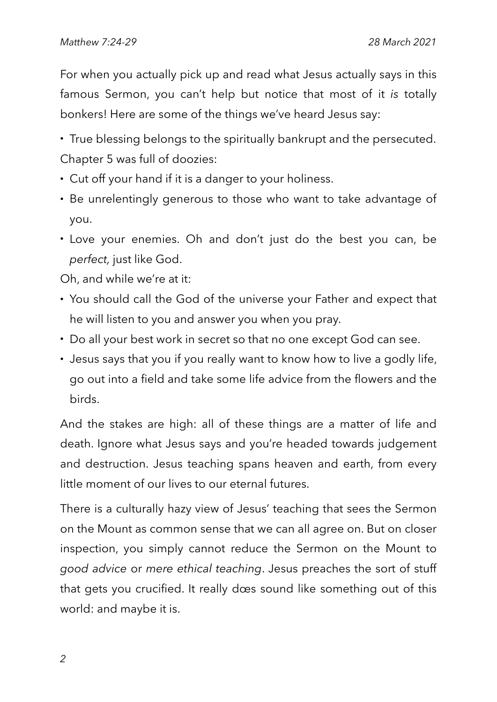For when you actually pick up and read what Jesus actually says in this famous Sermon, you can't help but notice that most of it *is* totally bonkers! Here are some of the things we've heard Jesus say:

• True blessing belongs to the spiritually bankrupt and the persecuted. Chapter 5 was full of doozies:

- Cut off your hand if it is a danger to your holiness.
- Be unrelentingly generous to those who want to take advantage of you.
- Love your enemies. Oh and don't just do the best you can, be *perfect,* just like God.

Oh, and while we're at it:

- You should call the God of the universe your Father and expect that he will listen to you and answer you when you pray.
- Do all your best work in secret so that no one except God can see.
- Jesus says that you if you really want to know how to live a godly life, go out into a field and take some life advice from the flowers and the birds.

And the stakes are high: all of these things are a matter of life and death. Ignore what Jesus says and you're headed towards judgement and destruction. Jesus teaching spans heaven and earth, from every little moment of our lives to our eternal futures.

There is a culturally hazy view of Jesus' teaching that sees the Sermon on the Mount as common sense that we can all agree on. But on closer inspection, you simply cannot reduce the Sermon on the Mount to *good advice* or *mere ethical teaching*. Jesus preaches the sort of stuff that gets you crucified. It really does sound like something out of this world: and maybe it is.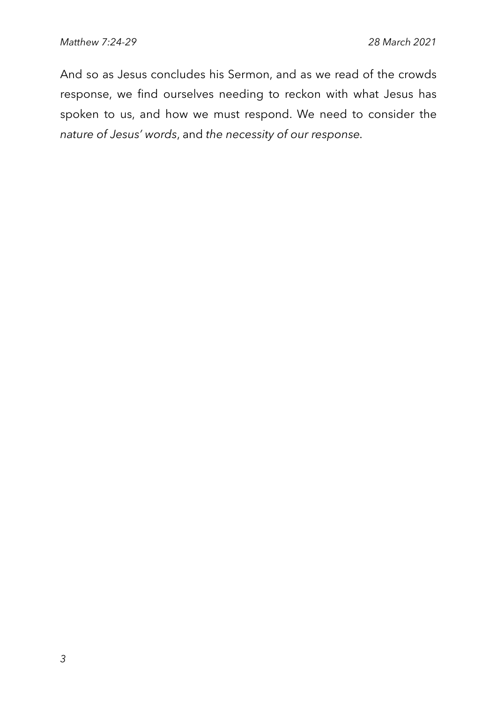And so as Jesus concludes his Sermon, and as we read of the crowds response, we find ourselves needing to reckon with what Jesus has spoken to us, and how we must respond. We need to consider the *nature of Jesus' words*, and *the necessity of our response.*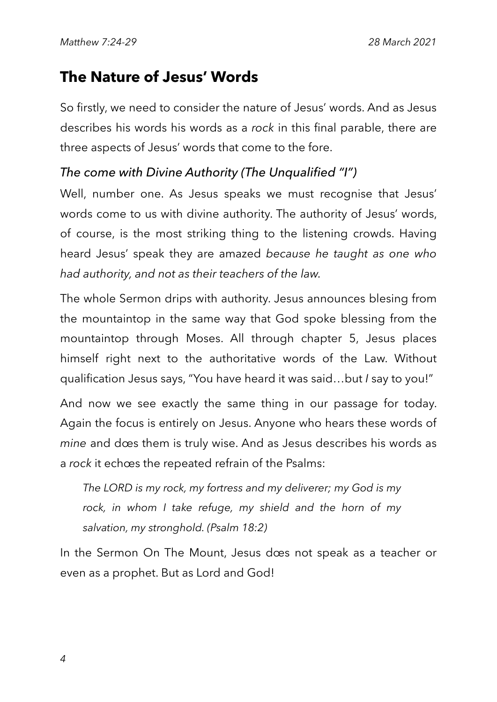# **The Nature of Jesus' Words**

So firstly, we need to consider the nature of Jesus' words. And as Jesus describes his words his words as a *rock* in this final parable, there are three aspects of Jesus' words that come to the fore.

### *The come with Divine Authority (The Unqualified "I")*

Well, number one. As Jesus speaks we must recognise that Jesus' words come to us with divine authority. The authority of Jesus' words, of course, is the most striking thing to the listening crowds. Having heard Jesus' speak they are amazed *because he taught as one who had authority, and not as their teachers of the law.*

The whole Sermon drips with authority. Jesus announces blesing from the mountaintop in the same way that God spoke blessing from the mountaintop through Moses. All through chapter 5, Jesus places himself right next to the authoritative words of the Law. Without qualification Jesus says, "You have heard it was said…but *I* say to you!"

And now we see exactly the same thing in our passage for today. Again the focus is entirely on Jesus. Anyone who hears these words of *mine* and does them is truly wise. And as Jesus describes his words as a *rock* it echoes the repeated refrain of the Psalms:

*The LORD is my rock, my fortress and my deliverer; my God is my rock, in whom I take refuge, my shield and the horn of my salvation, my stronghold. (Psalm 18:2)*

In the Sermon On The Mount, Jesus does not speak as a teacher or even as a prophet. But as Lord and God!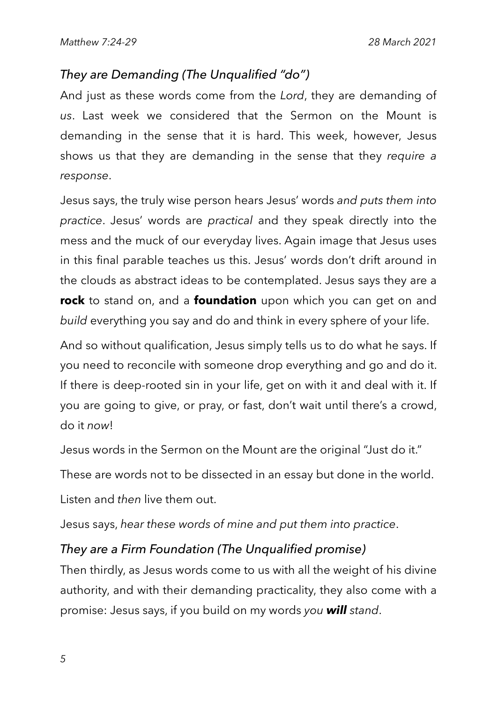## *They are Demanding (The Unqualified "do")*

And just as these words come from the *Lord*, they are demanding of *us*. Last week we considered that the Sermon on the Mount is demanding in the sense that it is hard. This week, however, Jesus shows us that they are demanding in the sense that they *require a response*.

Jesus says, the truly wise person hears Jesus' words *and puts them into practice*. Jesus' words are *practical* and they speak directly into the mess and the muck of our everyday lives. Again image that Jesus uses in this final parable teaches us this. Jesus' words don't drift around in the clouds as abstract ideas to be contemplated. Jesus says they are a **rock** to stand on, and a **foundation** upon which you can get on and *build* everything you say and do and think in every sphere of your life.

And so without qualification, Jesus simply tells us to do what he says. If you need to reconcile with someone drop everything and go and do it. If there is deep-rooted sin in your life, get on with it and deal with it. If you are going to give, or pray, or fast, don't wait until there's a crowd, do it *now*!

Jesus words in the Sermon on the Mount are the original "Just do it."

These are words not to be dissected in an essay but done in the world.

Listen and *then* live them out.

Jesus says, *hear these words of mine and put them into practice*.

## *They are a Firm Foundation (The Unqualified promise)*

Then thirdly, as Jesus words come to us with all the weight of his divine authority, and with their demanding practicality, they also come with a promise: Jesus says, if you build on my words *you will stand*.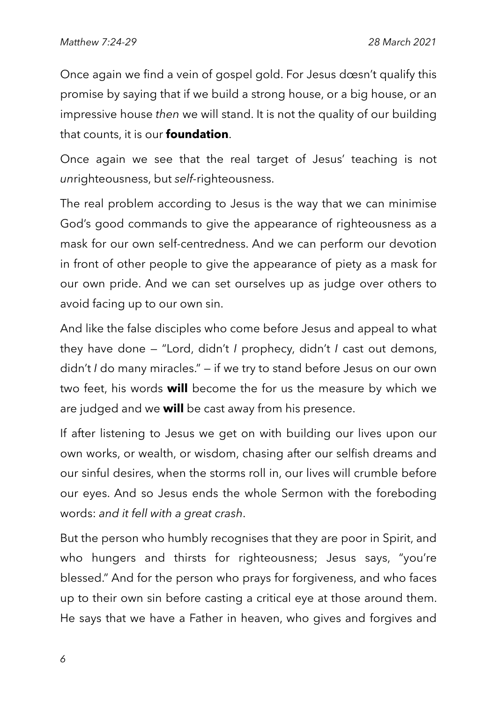Once again we find a vein of gospel gold. For Jesus doesn't qualify this promise by saying that if we build a strong house, or a big house, or an impressive house *then* we will stand. It is not the quality of our building that counts, it is our **foundation**.

Once again we see that the real target of Jesus' teaching is not *un*righteousness, but *self-*righteousness.

The real problem according to Jesus is the way that we can minimise God's good commands to give the appearance of righteousness as a mask for our own self-centredness. And we can perform our devotion in front of other people to give the appearance of piety as a mask for our own pride. And we can set ourselves up as judge over others to avoid facing up to our own sin.

And like the false disciples who come before Jesus and appeal to what they have done — "Lord, didn't *I* prophecy, didn't *I* cast out demons, didn't *I* do many miracles." — if we try to stand before Jesus on our own two feet, his words **will** become the for us the measure by which we are judged and we **will** be cast away from his presence.

If after listening to Jesus we get on with building our lives upon our own works, or wealth, or wisdom, chasing after our selfish dreams and our sinful desires, when the storms roll in, our lives will crumble before our eyes. And so Jesus ends the whole Sermon with the foreboding words: *and it fell with a great crash*.

But the person who humbly recognises that they are poor in Spirit, and who hungers and thirsts for righteousness; Jesus says, "you're blessed." And for the person who prays for forgiveness, and who faces up to their own sin before casting a critical eye at those around them. He says that we have a Father in heaven, who gives and forgives and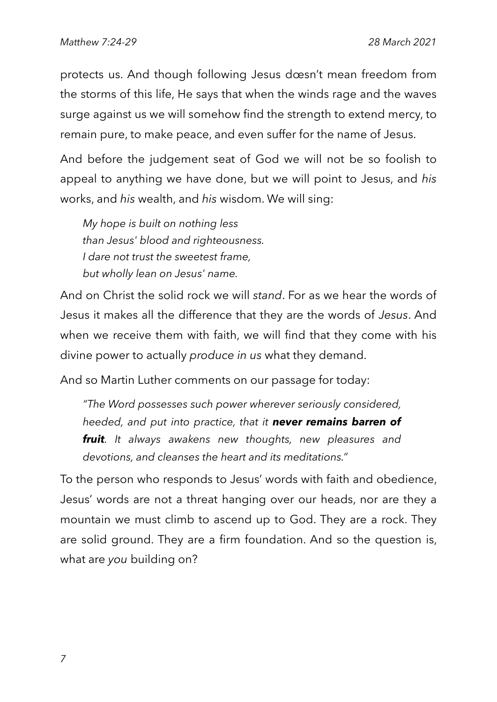protects us. And though following Jesus doesn't mean freedom from the storms of this life, He says that when the winds rage and the waves surge against us we will somehow find the strength to extend mercy, to remain pure, to make peace, and even suffer for the name of Jesus.

And before the judgement seat of God we will not be so foolish to appeal to anything we have done, but we will point to Jesus, and *his* works, and *his* wealth, and *his* wisdom. We will sing:

*My hope is built on nothing less than Jesus' blood and righteousness. I dare not trust the sweetest frame, but wholly lean on Jesus' name.*

And on Christ the solid rock we will *stand*. For as we hear the words of Jesus it makes all the difference that they are the words of *Jesus*. And when we receive them with faith, we will find that they come with his divine power to actually *produce in us* what they demand.

And so Martin Luther comments on our passage for today:

*"The Word possesses such power wherever seriously considered, heeded, and put into practice, that it never remains barren of fruit. It always awakens new thoughts, new pleasures and devotions, and cleanses the heart and its meditations."*

To the person who responds to Jesus' words with faith and obedience, Jesus' words are not a threat hanging over our heads, nor are they a mountain we must climb to ascend up to God. They are a rock. They are solid ground. They are a firm foundation. And so the question is, what are *you* building on?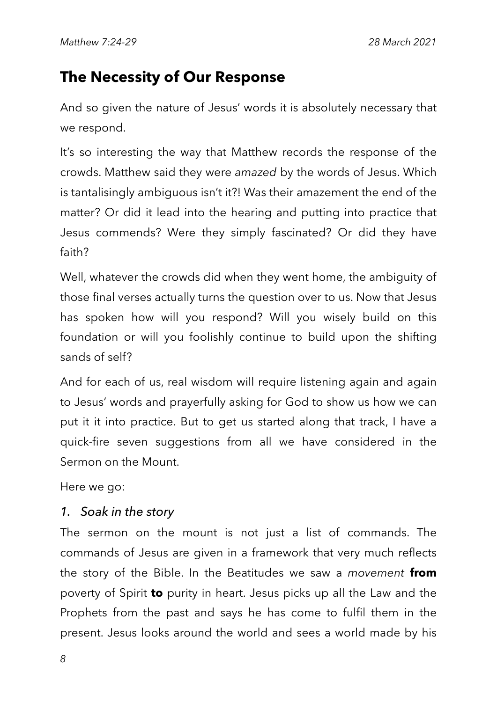# **The Necessity of Our Response**

And so given the nature of Jesus' words it is absolutely necessary that we respond.

It's so interesting the way that Matthew records the response of the crowds. Matthew said they were *amazed* by the words of Jesus. Which is tantalisingly ambiguous isn't it?! Was their amazement the end of the matter? Or did it lead into the hearing and putting into practice that Jesus commends? Were they simply fascinated? Or did they have faith?

Well, whatever the crowds did when they went home, the ambiguity of those final verses actually turns the question over to us. Now that Jesus has spoken how will you respond? Will you wisely build on this foundation or will you foolishly continue to build upon the shifting sands of self?

And for each of us, real wisdom will require listening again and again to Jesus' words and prayerfully asking for God to show us how we can put it it into practice. But to get us started along that track, I have a quick-fire seven suggestions from all we have considered in the Sermon on the Mount.

Here we go:

#### *1. Soak in the story*

The sermon on the mount is not just a list of commands. The commands of Jesus are given in a framework that very much reflects the story of the Bible. In the Beatitudes we saw a *movement* **from** poverty of Spirit **to** purity in heart. Jesus picks up all the Law and the Prophets from the past and says he has come to fulfil them in the present. Jesus looks around the world and sees a world made by his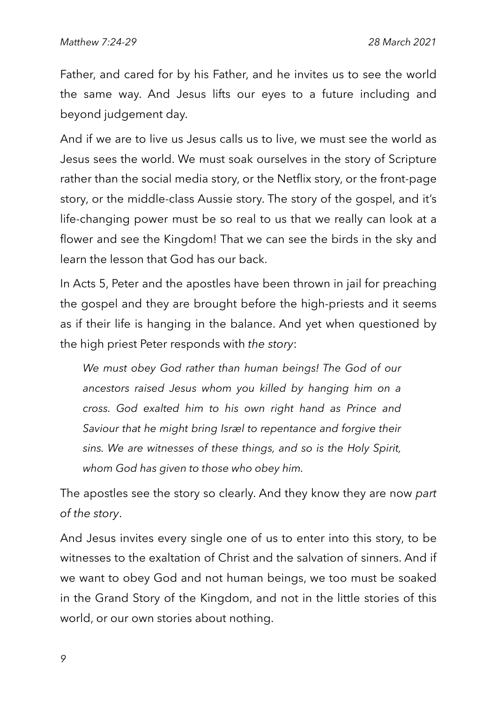Father, and cared for by his Father, and he invites us to see the world the same way. And Jesus lifts our eyes to a future including and beyond judgement day.

And if we are to live us Jesus calls us to live, we must see the world as Jesus sees the world. We must soak ourselves in the story of Scripture rather than the social media story, or the Netflix story, or the front-page story, or the middle-class Aussie story. The story of the gospel, and it's life-changing power must be so real to us that we really can look at a flower and see the Kingdom! That we can see the birds in the sky and learn the lesson that God has our back.

In Acts 5, Peter and the apostles have been thrown in jail for preaching the gospel and they are brought before the high-priests and it seems as if their life is hanging in the balance. And yet when questioned by the high priest Peter responds with *the story*:

*We must obey God rather than human beings! The God of our ancestors raised Jesus whom you killed by hanging him on a cross. God exalted him to his own right hand as Prince and Saviour that he might bring Israel to repentance and forgive their sins. We are witnesses of these things, and so is the Holy Spirit, whom God has given to those who obey him.*

The apostles see the story so clearly. And they know they are now *part of the story*.

And Jesus invites every single one of us to enter into this story, to be witnesses to the exaltation of Christ and the salvation of sinners. And if we want to obey God and not human beings, we too must be soaked in the Grand Story of the Kingdom, and not in the little stories of this world, or our own stories about nothing.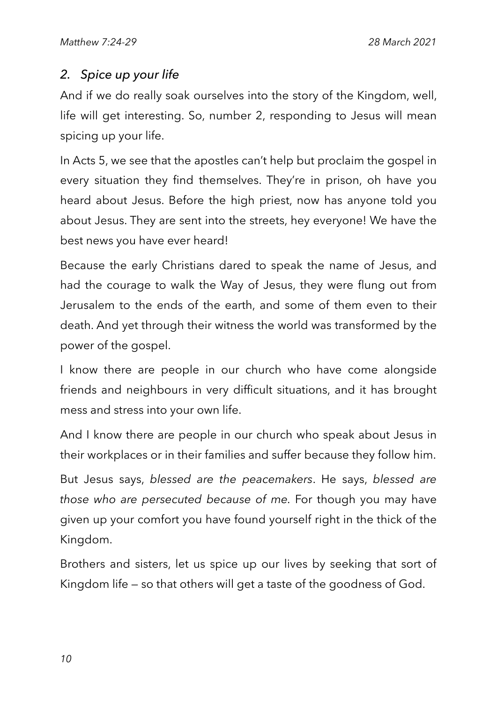## *2. Spice up your life*

And if we do really soak ourselves into the story of the Kingdom, well, life will get interesting. So, number 2, responding to Jesus will mean spicing up your life.

In Acts 5, we see that the apostles can't help but proclaim the gospel in every situation they find themselves. They're in prison, oh have you heard about Jesus. Before the high priest, now has anyone told you about Jesus. They are sent into the streets, hey everyone! We have the best news you have ever heard!

Because the early Christians dared to speak the name of Jesus, and had the courage to walk the Way of Jesus, they were flung out from Jerusalem to the ends of the earth, and some of them even to their death. And yet through their witness the world was transformed by the power of the gospel.

I know there are people in our church who have come alongside friends and neighbours in very difficult situations, and it has brought mess and stress into your own life.

And I know there are people in our church who speak about Jesus in their workplaces or in their families and suffer because they follow him.

But Jesus says, *blessed are the peacemakers*. He says, *blessed are those who are persecuted because of me.* For though you may have given up your comfort you have found yourself right in the thick of the Kingdom.

Brothers and sisters, let us spice up our lives by seeking that sort of Kingdom life — so that others will get a taste of the goodness of God.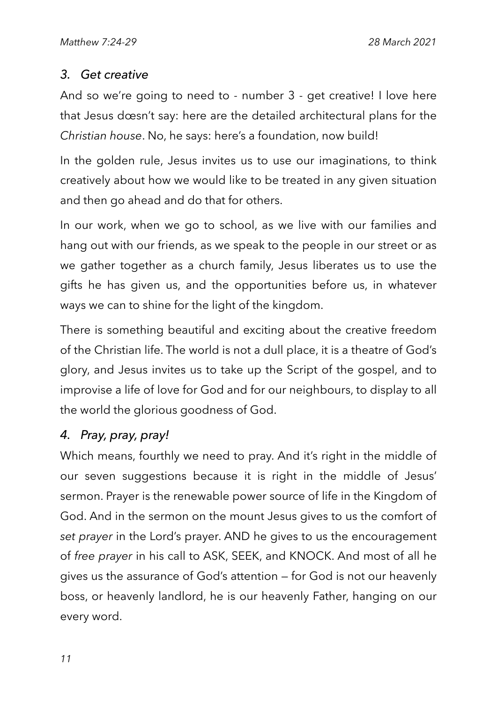#### *3. Get creative*

And so we're going to need to - number 3 - get creative! I love here that Jesus doesn't say: here are the detailed architectural plans for the *Christian house*. No, he says: here's a foundation, now build!

In the golden rule, Jesus invites us to use our imaginations, to think creatively about how we would like to be treated in any given situation and then go ahead and do that for others.

In our work, when we go to school, as we live with our families and hang out with our friends, as we speak to the people in our street or as we gather together as a church family, Jesus liberates us to use the gifts he has given us, and the opportunities before us, in whatever ways we can to shine for the light of the kingdom.

There is something beautiful and exciting about the creative freedom of the Christian life. The world is not a dull place, it is a theatre of God's glory, and Jesus invites us to take up the Script of the gospel, and to improvise a life of love for God and for our neighbours, to display to all the world the glorious goodness of God.

#### *4. Pray, pray, pray!*

Which means, fourthly we need to pray. And it's right in the middle of our seven suggestions because it is right in the middle of Jesus' sermon. Prayer is the renewable power source of life in the Kingdom of God. And in the sermon on the mount Jesus gives to us the comfort of *set prayer* in the Lord's prayer. AND he gives to us the encouragement of *free prayer* in his call to ASK, SEEK, and KNOCK. And most of all he gives us the assurance of God's attention — for God is not our heavenly boss, or heavenly landlord, he is our heavenly Father, hanging on our every word.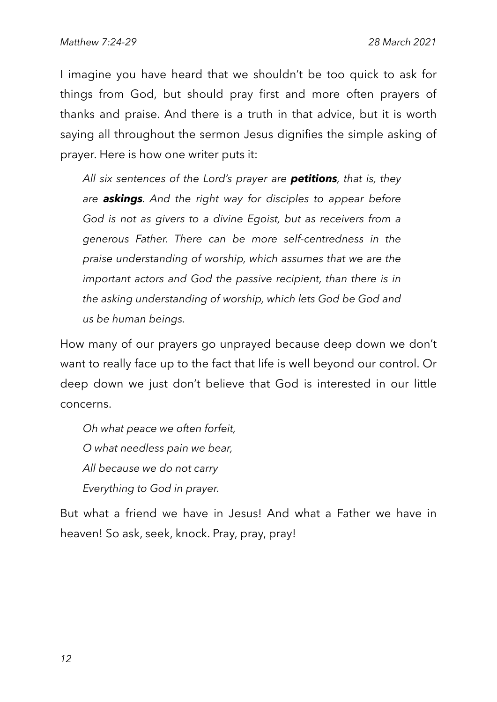I imagine you have heard that we shouldn't be too quick to ask for things from God, but should pray first and more often prayers of thanks and praise. And there is a truth in that advice, but it is worth saying all throughout the sermon Jesus dignifies the simple asking of prayer. Here is how one writer puts it:

*All six sentences of the Lord's prayer are petitions, that is, they are askings. And the right way for disciples to appear before God is not as givers to a divine Egoist, but as receivers from a generous Father. There can be more self-centredness in the praise understanding of worship, which assumes that we are the important actors and God the passive recipient, than there is in the asking understanding of worship, which lets God be God and us be human beings.*

How many of our prayers go unprayed because deep down we don't want to really face up to the fact that life is well beyond our control. Or deep down we just don't believe that God is interested in our little concerns.

*Oh what peace we often forfeit, O what needless pain we bear, All because we do not carry Everything to God in prayer.*

But what a friend we have in Jesus! And what a Father we have in heaven! So ask, seek, knock. Pray, pray, pray!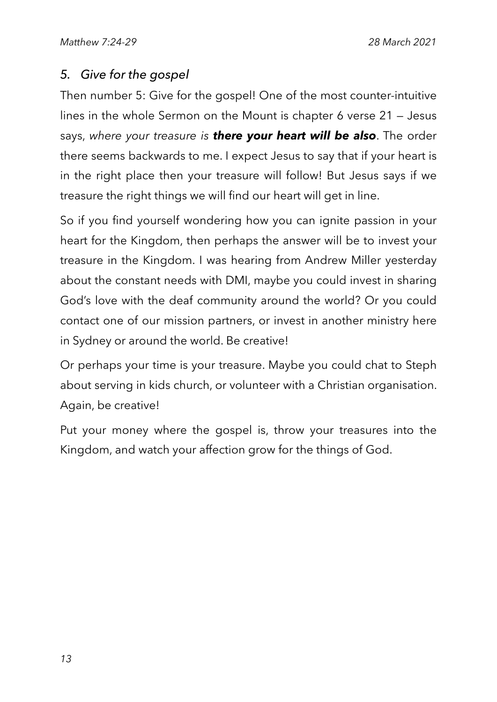## *5. Give for the gospel*

Then number 5: Give for the gospel! One of the most counter-intuitive lines in the whole Sermon on the Mount is chapter 6 verse 21 — Jesus says, *where your treasure is there your heart will be also*. The order there seems backwards to me. I expect Jesus to say that if your heart is in the right place then your treasure will follow! But Jesus says if we treasure the right things we will find our heart will get in line.

So if you find yourself wondering how you can ignite passion in your heart for the Kingdom, then perhaps the answer will be to invest your treasure in the Kingdom. I was hearing from Andrew Miller yesterday about the constant needs with DMI, maybe you could invest in sharing God's love with the deaf community around the world? Or you could contact one of our mission partners, or invest in another ministry here in Sydney or around the world. Be creative!

Or perhaps your time is your treasure. Maybe you could chat to Steph about serving in kids church, or volunteer with a Christian organisation. Again, be creative!

Put your money where the gospel is, throw your treasures into the Kingdom, and watch your affection grow for the things of God.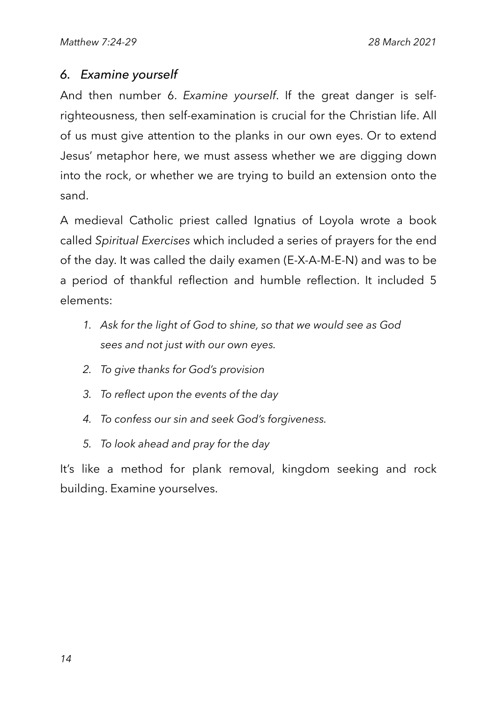#### *6. Examine yourself*

And then number 6. *Examine yourself*. If the great danger is selfrighteousness, then self-examination is crucial for the Christian life. All of us must give attention to the planks in our own eyes. Or to extend Jesus' metaphor here, we must assess whether we are digging down into the rock, or whether we are trying to build an extension onto the sand.

A medieval Catholic priest called Ignatius of Loyola wrote a book called *Spiritual Exercises* which included a series of prayers for the end of the day. It was called the daily examen (E-X-A-M-E-N) and was to be a period of thankful reflection and humble reflection. It included 5 elements:

- *1. Ask for the light of God to shine, so that we would see as God sees and not just with our own eyes.*
- *2. To give thanks for God's provision*
- *3. To reflect upon the events of the day*
- *4. To confess our sin and seek God's forgiveness.*
- *5. To look ahead and pray for the day*

It's like a method for plank removal, kingdom seeking and rock building. Examine yourselves.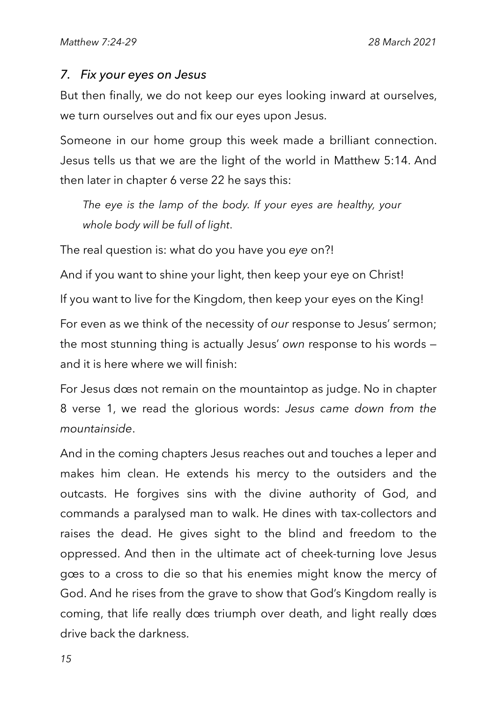#### *7. Fix your eyes on Jesus*

But then finally, we do not keep our eyes looking inward at ourselves, we turn ourselves out and fix our eyes upon Jesus.

Someone in our home group this week made a brilliant connection. Jesus tells us that we are the light of the world in Matthew 5:14. And then later in chapter 6 verse 22 he says this:

*The eye is the lamp of the body. If your eyes are healthy, your whole body will be full of light*.

The real question is: what do you have you *eye* on?!

And if you want to shine your light, then keep your eye on Christ!

If you want to live for the Kingdom, then keep your eyes on the King!

For even as we think of the necessity of *our* response to Jesus' sermon; the most stunning thing is actually Jesus' *own* response to his words and it is here where we will finish:

For Jesus does not remain on the mountaintop as judge. No in chapter 8 verse 1, we read the glorious words: *Jesus came down from the mountainside*.

And in the coming chapters Jesus reaches out and touches a leper and makes him clean. He extends his mercy to the outsiders and the outcasts. He forgives sins with the divine authority of God, and commands a paralysed man to walk. He dines with tax-collectors and raises the dead. He gives sight to the blind and freedom to the oppressed. And then in the ultimate act of cheek-turning love Jesus goes to a cross to die so that his enemies might know the mercy of God. And he rises from the grave to show that God's Kingdom really is coming, that life really does triumph over death, and light really does drive back the darkness.